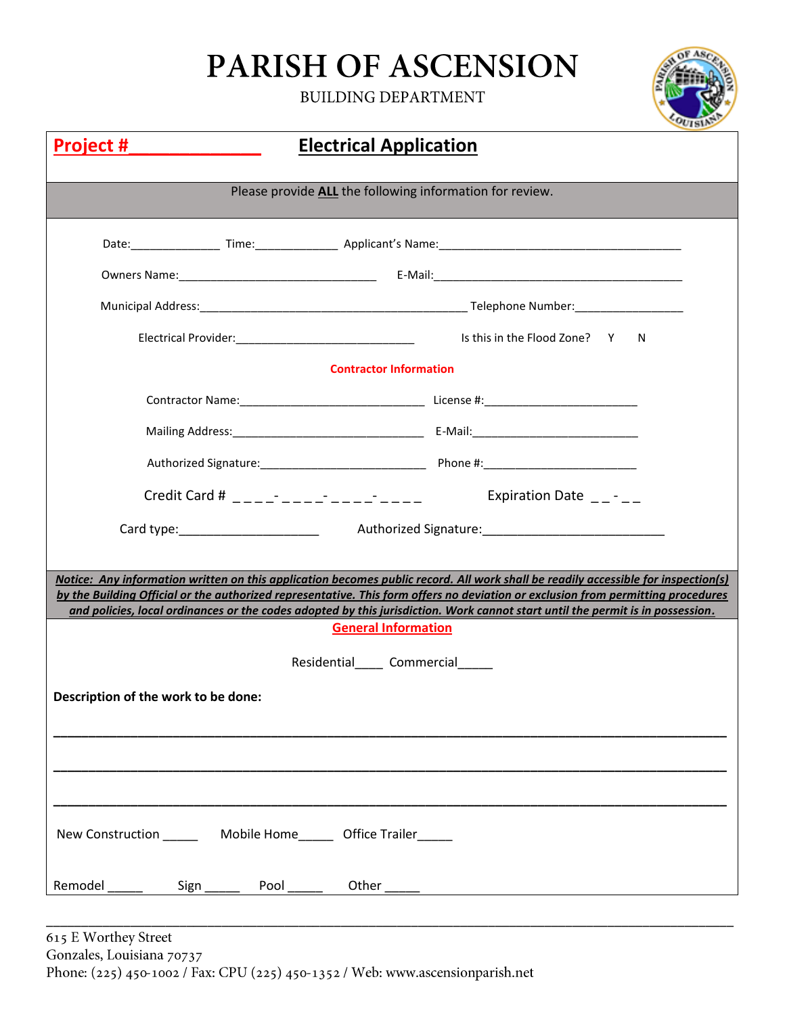## PARISH OF ASCENSION

**BUILDING DEPARTMENT** 



| <b>Electrical Application</b><br><u>Project #</u>        |                                                                                                                                                                                                                                                                                                                                                                                                         |  |  |  |  |  |
|----------------------------------------------------------|---------------------------------------------------------------------------------------------------------------------------------------------------------------------------------------------------------------------------------------------------------------------------------------------------------------------------------------------------------------------------------------------------------|--|--|--|--|--|
| Please provide ALL the following information for review. |                                                                                                                                                                                                                                                                                                                                                                                                         |  |  |  |  |  |
|                                                          |                                                                                                                                                                                                                                                                                                                                                                                                         |  |  |  |  |  |
|                                                          |                                                                                                                                                                                                                                                                                                                                                                                                         |  |  |  |  |  |
|                                                          |                                                                                                                                                                                                                                                                                                                                                                                                         |  |  |  |  |  |
|                                                          | Is this in the Flood Zone? Y<br>-N                                                                                                                                                                                                                                                                                                                                                                      |  |  |  |  |  |
|                                                          | <b>Contractor Information</b>                                                                                                                                                                                                                                                                                                                                                                           |  |  |  |  |  |
|                                                          |                                                                                                                                                                                                                                                                                                                                                                                                         |  |  |  |  |  |
|                                                          |                                                                                                                                                                                                                                                                                                                                                                                                         |  |  |  |  |  |
|                                                          |                                                                                                                                                                                                                                                                                                                                                                                                         |  |  |  |  |  |
|                                                          | Credit Card # $\frac{1}{2}$ $\frac{1}{2}$ $\frac{1}{2}$ $\frac{1}{2}$ $\frac{1}{2}$ $\frac{1}{2}$ $\frac{1}{2}$ $\frac{1}{2}$ $\frac{1}{2}$ $\frac{1}{2}$ $\frac{1}{2}$ $\frac{1}{2}$ $\frac{1}{2}$ $\frac{1}{2}$ $\frac{1}{2}$ $\frac{1}{2}$ $\frac{1}{2}$ $\frac{1}{2}$ $\frac{1}{2}$ $\frac{1}{2}$ $\frac{1}{2$<br>Expiration Date $\_\$ - $\_\$                                                     |  |  |  |  |  |
|                                                          |                                                                                                                                                                                                                                                                                                                                                                                                         |  |  |  |  |  |
|                                                          |                                                                                                                                                                                                                                                                                                                                                                                                         |  |  |  |  |  |
|                                                          | Notice: Any information written on this application becomes public record. All work shall be readily accessible for inspection(s)<br>by the Building Official or the authorized representative. This form offers no deviation or exclusion from permitting procedures<br>and policies, local ordinances or the codes adopted by this jurisdiction. Work cannot start until the permit is in possession. |  |  |  |  |  |
| <b>General Information</b>                               |                                                                                                                                                                                                                                                                                                                                                                                                         |  |  |  |  |  |
|                                                          | Residential Commercial                                                                                                                                                                                                                                                                                                                                                                                  |  |  |  |  |  |
| Description of the work to be done:                      |                                                                                                                                                                                                                                                                                                                                                                                                         |  |  |  |  |  |
|                                                          |                                                                                                                                                                                                                                                                                                                                                                                                         |  |  |  |  |  |
|                                                          |                                                                                                                                                                                                                                                                                                                                                                                                         |  |  |  |  |  |
| New Construction Mobile Home Office Trailer              |                                                                                                                                                                                                                                                                                                                                                                                                         |  |  |  |  |  |
| Remodel<br>Sign Pool _____<br>$\frac{1}{2}$              |                                                                                                                                                                                                                                                                                                                                                                                                         |  |  |  |  |  |

\_\_\_\_\_\_\_\_\_\_\_\_\_\_\_\_\_\_\_\_\_\_\_\_\_\_\_\_\_\_\_\_\_\_\_\_\_\_\_\_\_\_\_\_\_\_\_\_\_\_\_\_\_\_\_\_\_\_\_\_\_\_\_\_\_\_\_\_\_\_\_\_\_\_\_\_\_\_\_\_\_\_\_\_\_\_\_\_\_\_\_\_\_\_\_\_\_\_

Gonzales, Louisiana 70737 Phone: (225) 450-1002 / Fax: CPU (225) 450-1352 / Web: www.ascensionparish.net